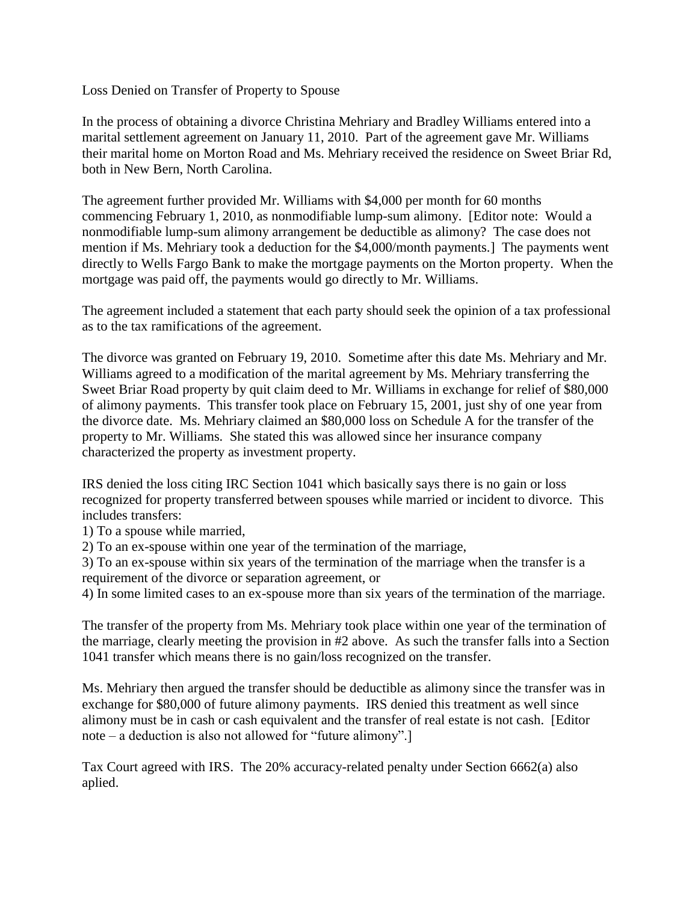Loss Denied on Transfer of Property to Spouse

In the process of obtaining a divorce Christina Mehriary and Bradley Williams entered into a marital settlement agreement on January 11, 2010. Part of the agreement gave Mr. Williams their marital home on Morton Road and Ms. Mehriary received the residence on Sweet Briar Rd, both in New Bern, North Carolina.

The agreement further provided Mr. Williams with \$4,000 per month for 60 months commencing February 1, 2010, as nonmodifiable lump-sum alimony. [Editor note: Would a nonmodifiable lump-sum alimony arrangement be deductible as alimony? The case does not mention if Ms. Mehriary took a deduction for the \$4,000/month payments.] The payments went directly to Wells Fargo Bank to make the mortgage payments on the Morton property. When the mortgage was paid off, the payments would go directly to Mr. Williams.

The agreement included a statement that each party should seek the opinion of a tax professional as to the tax ramifications of the agreement.

The divorce was granted on February 19, 2010. Sometime after this date Ms. Mehriary and Mr. Williams agreed to a modification of the marital agreement by Ms. Mehriary transferring the Sweet Briar Road property by quit claim deed to Mr. Williams in exchange for relief of \$80,000 of alimony payments. This transfer took place on February 15, 2001, just shy of one year from the divorce date. Ms. Mehriary claimed an \$80,000 loss on Schedule A for the transfer of the property to Mr. Williams. She stated this was allowed since her insurance company characterized the property as investment property.

IRS denied the loss citing IRC Section 1041 which basically says there is no gain or loss recognized for property transferred between spouses while married or incident to divorce. This includes transfers:

1) To a spouse while married,

2) To an ex-spouse within one year of the termination of the marriage,

3) To an ex-spouse within six years of the termination of the marriage when the transfer is a requirement of the divorce or separation agreement, or

4) In some limited cases to an ex-spouse more than six years of the termination of the marriage.

The transfer of the property from Ms. Mehriary took place within one year of the termination of the marriage, clearly meeting the provision in #2 above. As such the transfer falls into a Section 1041 transfer which means there is no gain/loss recognized on the transfer.

Ms. Mehriary then argued the transfer should be deductible as alimony since the transfer was in exchange for \$80,000 of future alimony payments. IRS denied this treatment as well since alimony must be in cash or cash equivalent and the transfer of real estate is not cash. [Editor note – a deduction is also not allowed for "future alimony".]

Tax Court agreed with IRS. The 20% accuracy-related penalty under Section 6662(a) also aplied.